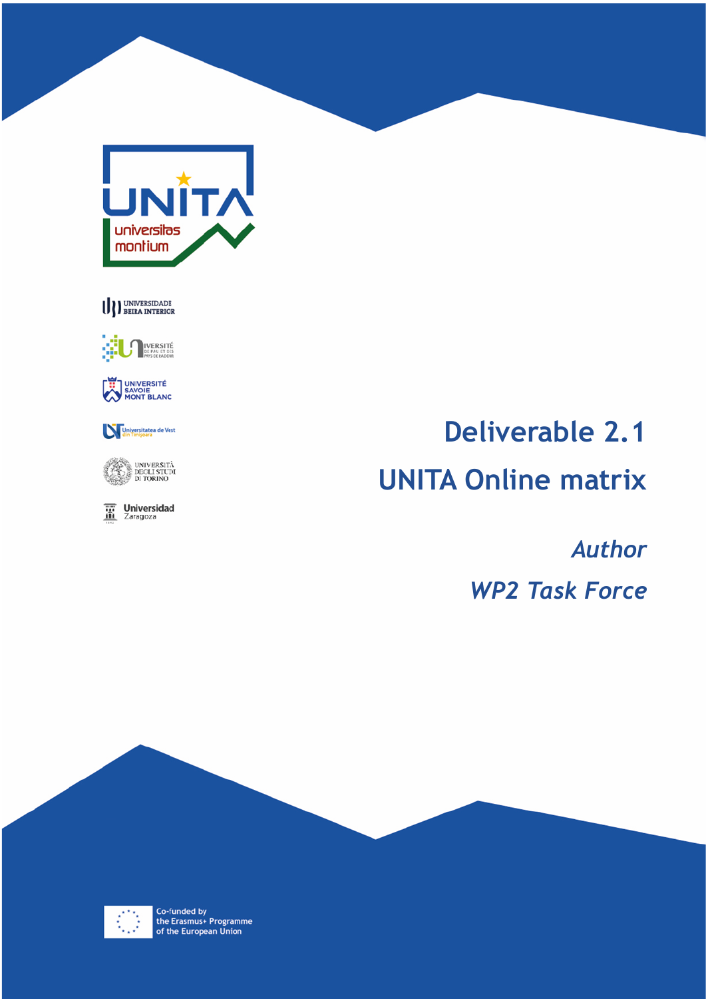

U DEERA INTERIOR



UNIVERSITÉ<br>SAVOIE<br>MONT BLANC



UNIVERSITÀ<br>E DEGLI STUDI<br>E DI TORINO

**The Universidad** 

# **Deliverable 2.1 UNITA Online matrix**

*Author WP2 Task Force*



Co-funded by<br>the Erasmus+ Programme<br>of the European Union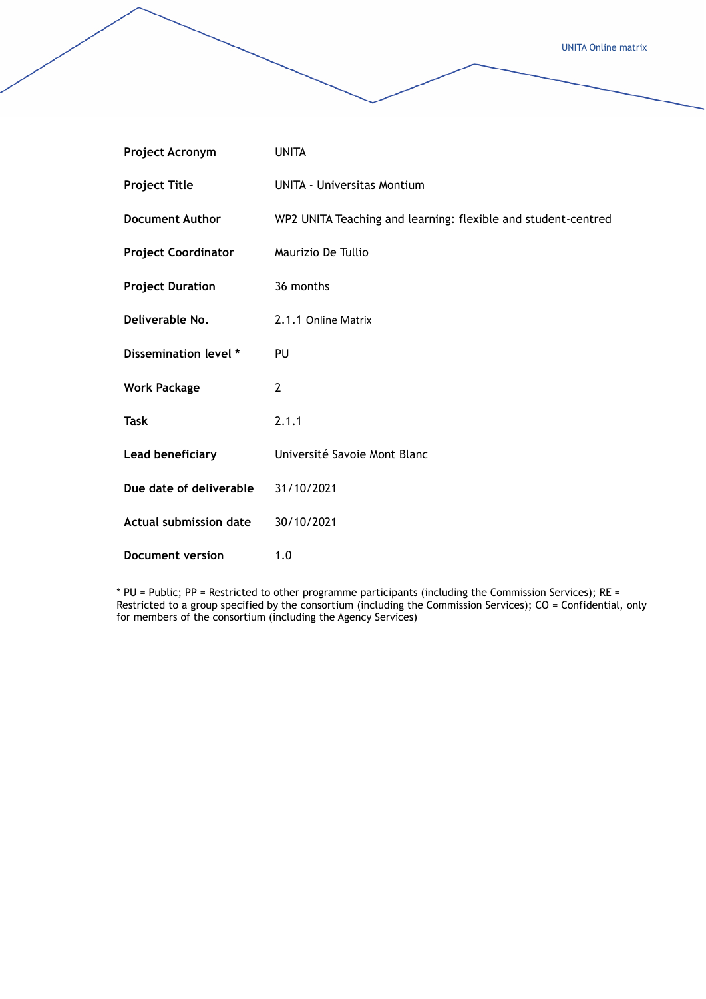| <b>Project Acronym</b>        | <b>UNITA</b>                                                  |
|-------------------------------|---------------------------------------------------------------|
| <b>Project Title</b>          | <b>UNITA - Universitas Montium</b>                            |
| <b>Document Author</b>        | WP2 UNITA Teaching and learning: flexible and student-centred |
| <b>Project Coordinator</b>    | Maurizio De Tullio                                            |
| <b>Project Duration</b>       | 36 months                                                     |
| Deliverable No.               | 2.1.1 Online Matrix                                           |
| Dissemination level *         | PU                                                            |
| <b>Work Package</b>           | $\overline{2}$                                                |
| <b>Task</b>                   | 2.1.1                                                         |
| Lead beneficiary              | Université Savoie Mont Blanc                                  |
| Due date of deliverable       | 31/10/2021                                                    |
| <b>Actual submission date</b> | 30/10/2021                                                    |
| <b>Document version</b>       | 1.0                                                           |

\* PU = Public; PP = Restricted to other programme participants (including the Commission Services); RE = Restricted to a group specified by the consortium (including the Commission Services); CO = Confidential, only for members of the consortium (including the Agency Services)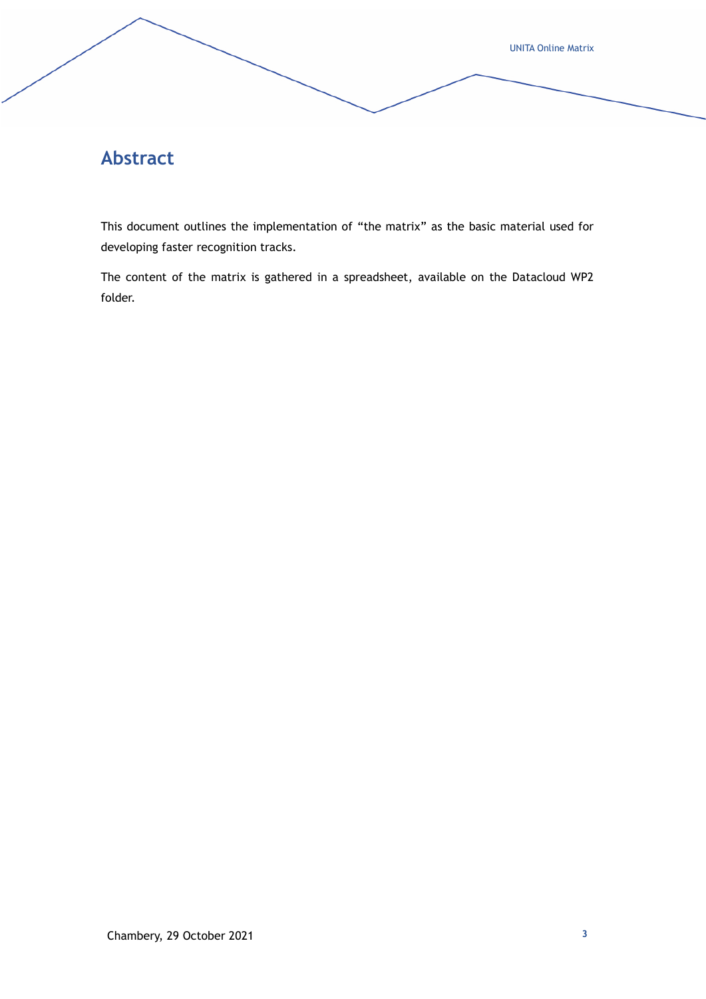## **Abstract**

This document outlines the implementation of "the matrix" as the basic material used for developing faster recognition tracks.

The content of the matrix is gathered in a spreadsheet, available on the Datacloud WP2 folder.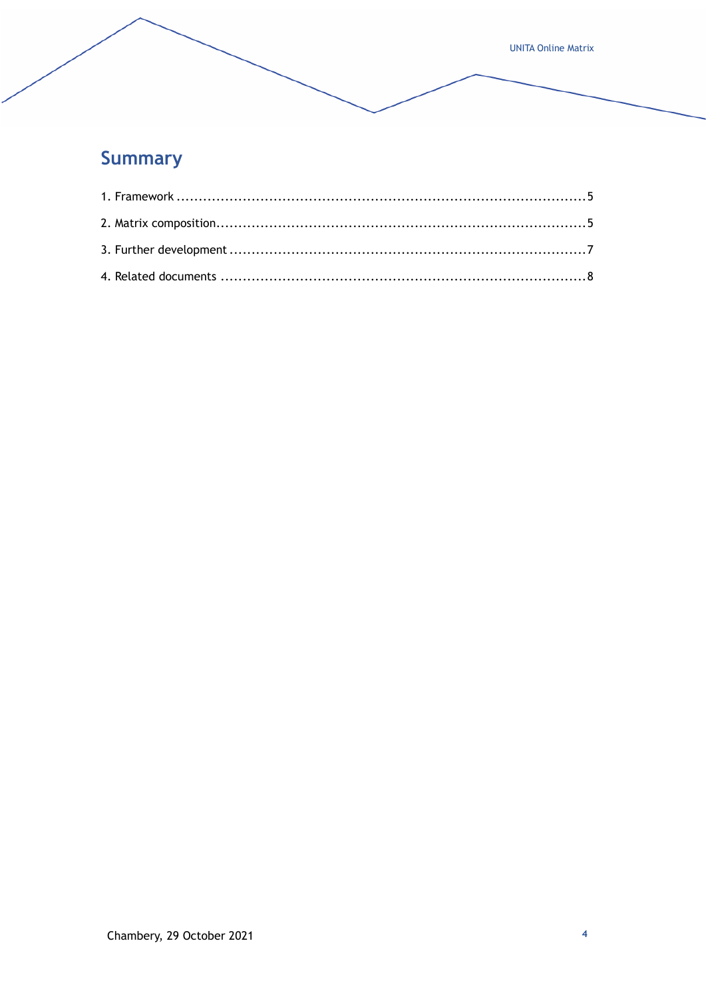# **Summary**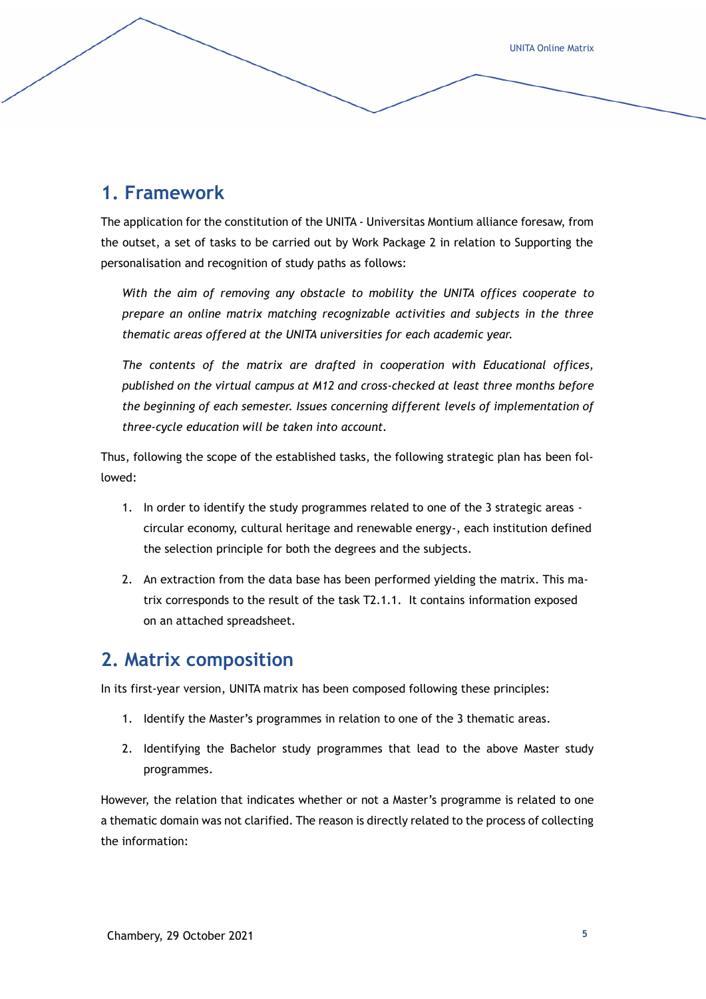#### <span id="page-4-0"></span>**1. Framework**

The application for the constitution of the UNITA - Universitas Montium alliance foresaw, from the outset, a set of tasks to be carried out by Work Package 2 in relation to Supporting the personalisation and recognition of study paths as follows:

*With the aim of removing any obstacle to mobility the UNITA offices cooperate to prepare an online matrix matching recognizable activities and subjects in the three thematic areas offered at the UNITA universities for each academic year.*

*The contents of the matrix are drafted in cooperation with Educational offices, published on the virtual campus at M12 and cross-checked at least three months before the beginning of each semester. Issues concerning different levels of implementation of three-cycle education will be taken into account.*

Thus, following the scope of the established tasks, the following strategic plan has been followed:

- 1. In order to identify the study programmes related to one of the 3 strategic areas circular economy, cultural heritage and renewable energy-, each institution defined the selection principle for both the degrees and the subjects.
- 2. An extraction from the data base has been performed yielding the matrix. This matrix corresponds to the result of the task T2.1.1. It contains information exposed on an attached spreadsheet.

#### <span id="page-4-1"></span>**2. Matrix composition**

In its first-year version, UNITA matrix has been composed following these principles:

- 1. Identify the Master's programmes in relation to one of the 3 thematic areas.
- 2. Identifying the Bachelor study programmes that lead to the above Master study programmes.

However, the relation that indicates whether or not a Master's programme is related to one a thematic domain was not clarified. The reason is directly related to the process of collecting the information: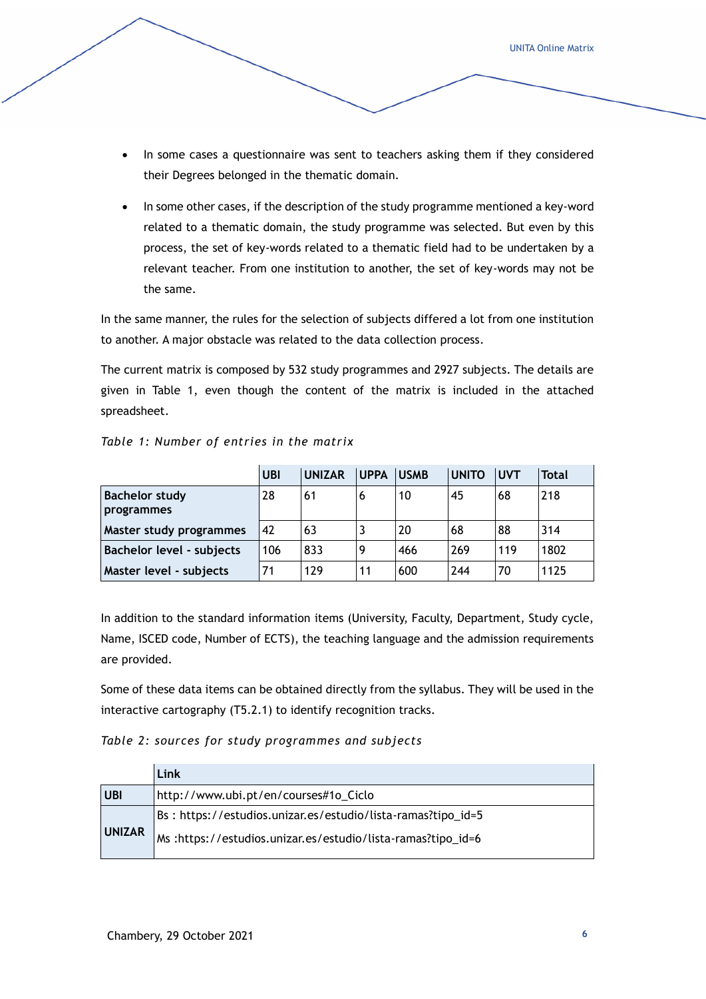- In some cases a questionnaire was sent to teachers asking them if they considered their Degrees belonged in the thematic domain.
- In some other cases, if the description of the study programme mentioned a key-word related to a thematic domain, the study programme was selected. But even by this process, the set of key-words related to a thematic field had to be undertaken by a relevant teacher. From one institution to another, the set of key-words may not be the same.

In the same manner, the rules for the selection of subjects differed a lot from one institution to another. A major obstacle was related to the data collection process.

The current matrix is composed by 532 study programmes and 2927 subjects. The details are given in Table 1, even though the content of the matrix is included in the attached spreadsheet.

|  |  | Table 1: Number of entries in the matrix |  |  |  |  |  |
|--|--|------------------------------------------|--|--|--|--|--|
|--|--|------------------------------------------|--|--|--|--|--|

|                                     | UBI | <b>UNIZAR</b> | <b>UPPA</b> | <b>USMB</b> | <b>UNITO</b> | <b>UVT</b> | Total |
|-------------------------------------|-----|---------------|-------------|-------------|--------------|------------|-------|
| <b>Bachelor study</b><br>programmes | 28  | 61            | 6           | 10          | 45           | 68         | 218   |
| Master study programmes             | 42  | 63            | د           | 20          | 68           | 88         | 314   |
| Bachelor level - subjects           | 106 | 833           | 9           | 466         | 269          | 119        | 1802  |
| Master level - subjects             | 71  | 129           | 11          | 600         | 244          | 70         | 1125  |

In addition to the standard information items (University, Faculty, Department, Study cycle, Name, ISCED code, Number of ECTS), the teaching language and the admission requirements are provided.

Some of these data items can be obtained directly from the syllabus. They will be used in the interactive cartography (T5.2.1) to identify recognition tracks.

*Table 2: sources for study programmes and subjects*

|               | Link                                                         |
|---------------|--------------------------------------------------------------|
| <b>UBI</b>    | http://www.ubi.pt/en/courses#1o_Ciclo                        |
|               | Bs: https://estudios.unizar.es/estudio/lista-ramas?tipo_id=5 |
| <b>UNIZAR</b> | Ms: https://estudios.unizar.es/estudio/lista-ramas?tipo_id=6 |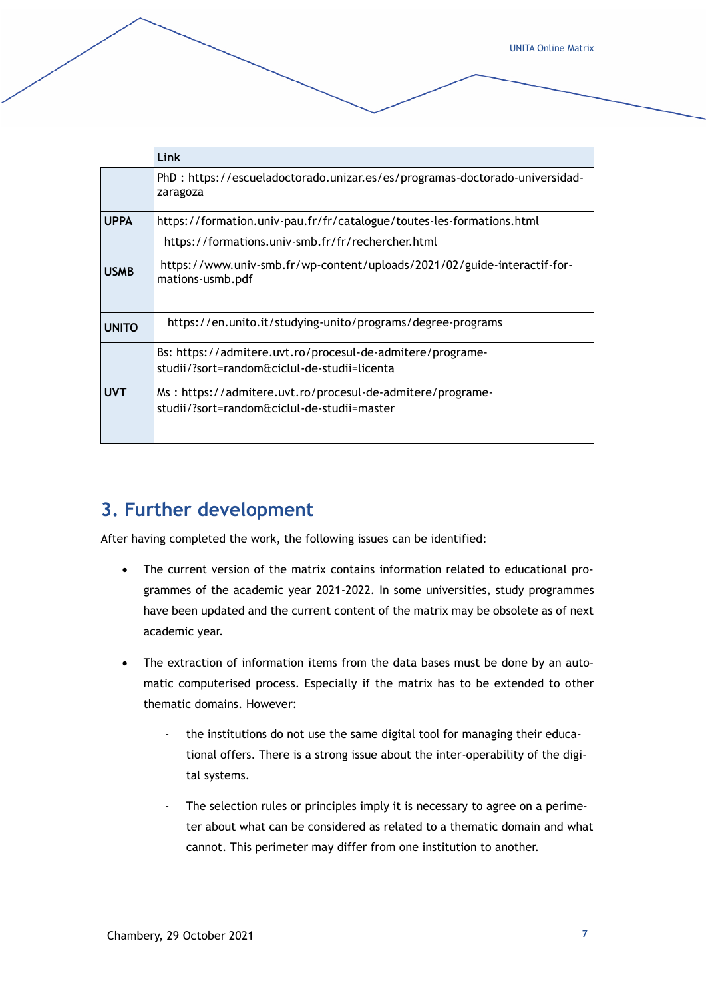|              | Link                                                                                                       |  |  |  |
|--------------|------------------------------------------------------------------------------------------------------------|--|--|--|
|              | PhD: https://escueladoctorado.unizar.es/es/programas-doctorado-universidad-<br>zaragoza                    |  |  |  |
| <b>UPPA</b>  | https://formation.univ-pau.fr/fr/catalogue/toutes-les-formations.html                                      |  |  |  |
|              | https://formations.univ-smb.fr/fr/rechercher.html                                                          |  |  |  |
| <b>USMB</b>  | https://www.univ-smb.fr/wp-content/uploads/2021/02/guide-interactif-for-<br>mations-usmb.pdf               |  |  |  |
| <b>UNITO</b> | https://en.unito.it/studying-unito/programs/degree-programs                                                |  |  |  |
|              | Bs: https://admitere.uvt.ro/procesul-de-admitere/programe-<br>studii/?sort=random&ciclul-de-studii=licenta |  |  |  |
| <b>UVT</b>   | Ms: https://admitere.uvt.ro/procesul-de-admitere/programe-<br>studii/?sort=random&ciclul-de-studii=master  |  |  |  |

#### <span id="page-6-0"></span>**3. Further development**

After having completed the work, the following issues can be identified:

- The current version of the matrix contains information related to educational programmes of the academic year 2021-2022. In some universities, study programmes have been updated and the current content of the matrix may be obsolete as of next academic year.
- The extraction of information items from the data bases must be done by an automatic computerised process. Especially if the matrix has to be extended to other thematic domains. However:
	- the institutions do not use the same digital tool for managing their educational offers. There is a strong issue about the inter-operability of the digital systems.
	- The selection rules or principles imply it is necessary to agree on a perimeter about what can be considered as related to a thematic domain and what cannot. This perimeter may differ from one institution to another.